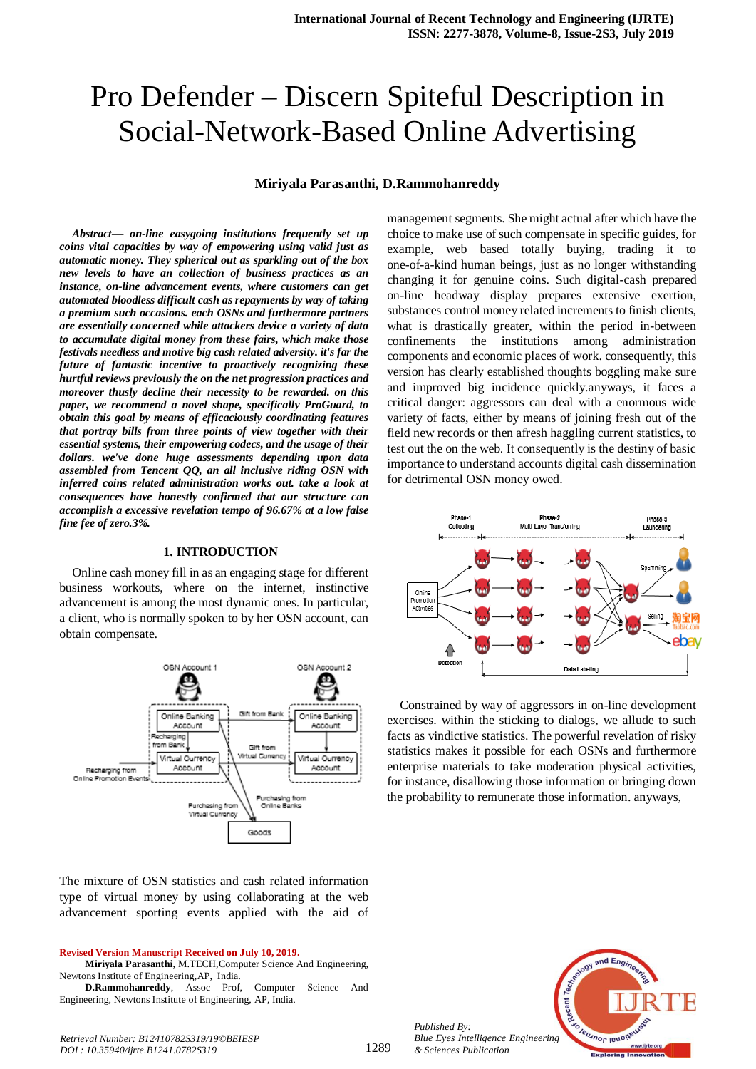# Pro Defender – Discern Spiteful Description in Social-Network-Based Online Advertising

#### **Miriyala Parasanthi, D.Rammohanreddy**

*Abstract***—** *on-line easygoing institutions frequently set up coins vital capacities by way of empowering using valid just as automatic money. They spherical out as sparkling out of the box new levels to have an collection of business practices as an instance, on-line advancement events, where customers can get automated bloodless difficult cash as repayments by way of taking a premium such occasions. each OSNs and furthermore partners are essentially concerned while attackers device a variety of data to accumulate digital money from these fairs, which make those festivals needless and motive big cash related adversity. it's far the future of fantastic incentive to proactively recognizing these hurtful reviews previously the on the net progression practices and moreover thusly decline their necessity to be rewarded. on this paper, we recommend a novel shape, specifically ProGuard, to obtain this goal by means of efficaciously coordinating features that portray bills from three points of view together with their essential systems, their empowering codecs, and the usage of their dollars. we've done huge assessments depending upon data assembled from Tencent QQ, an all inclusive riding OSN with inferred coins related administration works out. take a look at consequences have honestly confirmed that our structure can accomplish a excessive revelation tempo of 96.67% at a low false fine fee of zero.3%.*

#### **1. INTRODUCTION**

Online cash money fill in as an engaging stage for different business workouts, where on the internet, instinctive advancement is among the most dynamic ones. In particular, a client, who is normally spoken to by her OSN account, can obtain compensate.



The mixture of OSN statistics and cash related information type of virtual money by using collaborating at the web advancement sporting events applied with the aid of

#### **Revised Version Manuscript Received on July 10, 2019.**

**Miriyala Parasanthi**, M.TECH,Computer Science And Engineering, Newtons Institute of Engineering,AP, India.

**D.Rammohanreddy**, Assoc Prof, Computer Science And Engineering, Newtons Institute of Engineering, AP, India.

management segments. She might actual after which have the choice to make use of such compensate in specific guides, for example, web based totally buying, trading it to one-of-a-kind human beings, just as no longer withstanding changing it for genuine coins. Such digital-cash prepared on-line headway display prepares extensive exertion, substances control money related increments to finish clients, what is drastically greater, within the period in-between confinements the institutions among administration components and economic places of work. consequently, this version has clearly established thoughts boggling make sure and improved big incidence quickly.anyways, it faces a critical danger: aggressors can deal with a enormous wide variety of facts, either by means of joining fresh out of the field new records or then afresh haggling current statistics, to test out the on the web. It consequently is the destiny of basic importance to understand accounts digital cash dissemination for detrimental OSN money owed.



Constrained by way of aggressors in on-line development exercises. within the sticking to dialogs, we allude to such facts as vindictive statistics. The powerful revelation of risky statistics makes it possible for each OSNs and furthermore enterprise materials to take moderation physical activities, for instance, disallowing those information or bringing down the probability to remunerate those information. anyways,



*Published By: Blue Eyes Intelligence Engineering & Sciences Publication* 

1289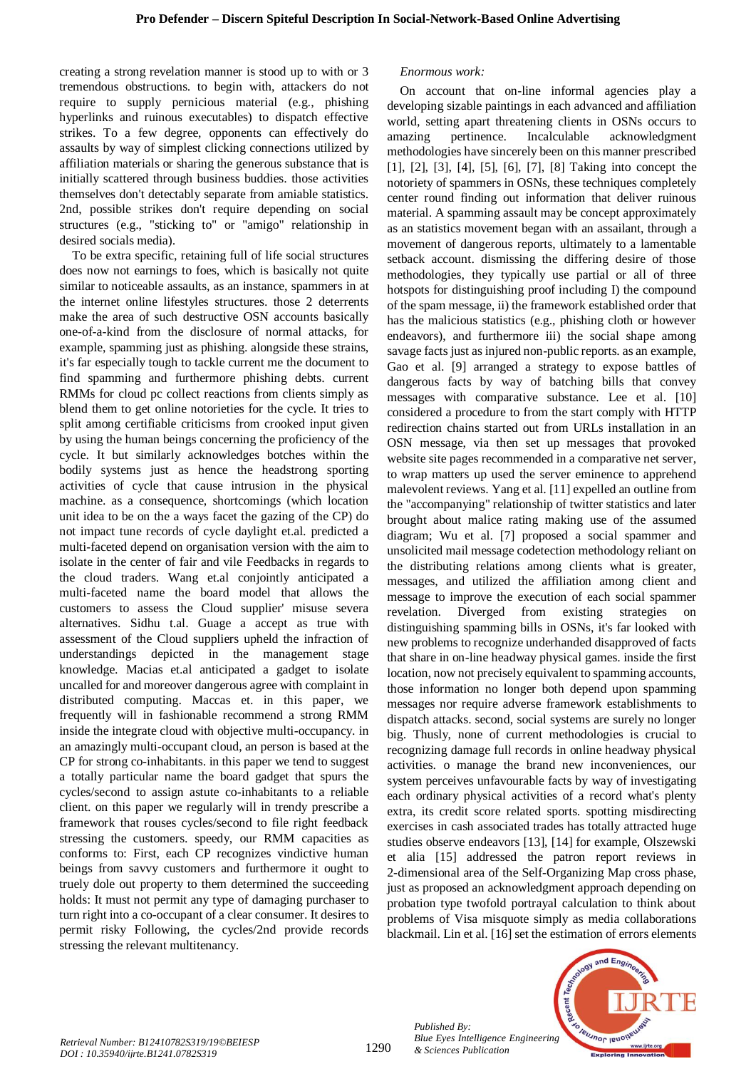creating a strong revelation manner is stood up to with or 3 tremendous obstructions. to begin with, attackers do not require to supply pernicious material (e.g., phishing hyperlinks and ruinous executables) to dispatch effective strikes. To a few degree, opponents can effectively do assaults by way of simplest clicking connections utilized by affiliation materials or sharing the generous substance that is initially scattered through business buddies. those activities themselves don't detectably separate from amiable statistics. 2nd, possible strikes don't require depending on social structures (e.g., "sticking to" or "amigo" relationship in desired socials media).

To be extra specific, retaining full of life social structures does now not earnings to foes, which is basically not quite similar to noticeable assaults, as an instance, spammers in at the internet online lifestyles structures. those 2 deterrents make the area of such destructive OSN accounts basically one-of-a-kind from the disclosure of normal attacks, for example, spamming just as phishing. alongside these strains, it's far especially tough to tackle current me the document to find spamming and furthermore phishing debts. current RMMs for cloud pc collect reactions from clients simply as blend them to get online notorieties for the cycle. It tries to split among certifiable criticisms from crooked input given by using the human beings concerning the proficiency of the cycle. It but similarly acknowledges botches within the bodily systems just as hence the headstrong sporting activities of cycle that cause intrusion in the physical machine. as a consequence, shortcomings (which location unit idea to be on the a ways facet the gazing of the CP) do not impact tune records of cycle daylight et.al. predicted a multi-faceted depend on organisation version with the aim to isolate in the center of fair and vile Feedbacks in regards to the cloud traders. Wang et.al conjointly anticipated a multi-faceted name the board model that allows the customers to assess the Cloud supplier' misuse severa alternatives. Sidhu t.al. Guage a accept as true with assessment of the Cloud suppliers upheld the infraction of understandings depicted in the management stage knowledge. Macias et.al anticipated a gadget to isolate uncalled for and moreover dangerous agree with complaint in distributed computing. Maccas et. in this paper, we frequently will in fashionable recommend a strong RMM inside the integrate cloud with objective multi-occupancy. in an amazingly multi-occupant cloud, an person is based at the CP for strong co-inhabitants. in this paper we tend to suggest a totally particular name the board gadget that spurs the cycles/second to assign astute co-inhabitants to a reliable client. on this paper we regularly will in trendy prescribe a framework that rouses cycles/second to file right feedback stressing the customers. speedy, our RMM capacities as conforms to: First, each CP recognizes vindictive human beings from savvy customers and furthermore it ought to truely dole out property to them determined the succeeding holds: It must not permit any type of damaging purchaser to turn right into a co-occupant of a clear consumer. It desires to permit risky Following, the cycles/2nd provide records stressing the relevant multitenancy.

# *Enormous work:*

On account that on-line informal agencies play a developing sizable paintings in each advanced and affiliation world, setting apart threatening clients in OSNs occurs to amazing pertinence. Incalculable acknowledgment methodologies have sincerely been on this manner prescribed [1], [2], [3], [4], [5], [6], [7], [8] Taking into concept the notoriety of spammers in OSNs, these techniques completely center round finding out information that deliver ruinous material. A spamming assault may be concept approximately as an statistics movement began with an assailant, through a movement of dangerous reports, ultimately to a lamentable setback account. dismissing the differing desire of those methodologies, they typically use partial or all of three hotspots for distinguishing proof including I) the compound of the spam message, ii) the framework established order that has the malicious statistics (e.g., phishing cloth or however endeavors), and furthermore iii) the social shape among savage facts just as injured non-public reports. as an example, Gao et al. [9] arranged a strategy to expose battles of dangerous facts by way of batching bills that convey messages with comparative substance. Lee et al. [10] considered a procedure to from the start comply with HTTP redirection chains started out from URLs installation in an OSN message, via then set up messages that provoked website site pages recommended in a comparative net server, to wrap matters up used the server eminence to apprehend malevolent reviews. Yang et al. [11] expelled an outline from the "accompanying" relationship of twitter statistics and later brought about malice rating making use of the assumed diagram; Wu et al. [7] proposed a social spammer and unsolicited mail message codetection methodology reliant on the distributing relations among clients what is greater, messages, and utilized the affiliation among client and message to improve the execution of each social spammer revelation. Diverged from existing strategies on distinguishing spamming bills in OSNs, it's far looked with new problems to recognize underhanded disapproved of facts that share in on-line headway physical games. inside the first location, now not precisely equivalent to spamming accounts, those information no longer both depend upon spamming messages nor require adverse framework establishments to dispatch attacks. second, social systems are surely no longer big. Thusly, none of current methodologies is crucial to recognizing damage full records in online headway physical activities. o manage the brand new inconveniences, our system perceives unfavourable facts by way of investigating each ordinary physical activities of a record what's plenty extra, its credit score related sports. spotting misdirecting exercises in cash associated trades has totally attracted huge studies observe endeavors [13], [14] for example, Olszewski et alia [15] addressed the patron report reviews in 2-dimensional area of the Self-Organizing Map cross phase, just as proposed an acknowledgment approach depending on probation type twofold portrayal calculation to think about problems of Visa misquote simply as media collaborations blackmail. Lin et al. [16] set the estimation of errors elements



*Published By:*

*& Sciences Publication*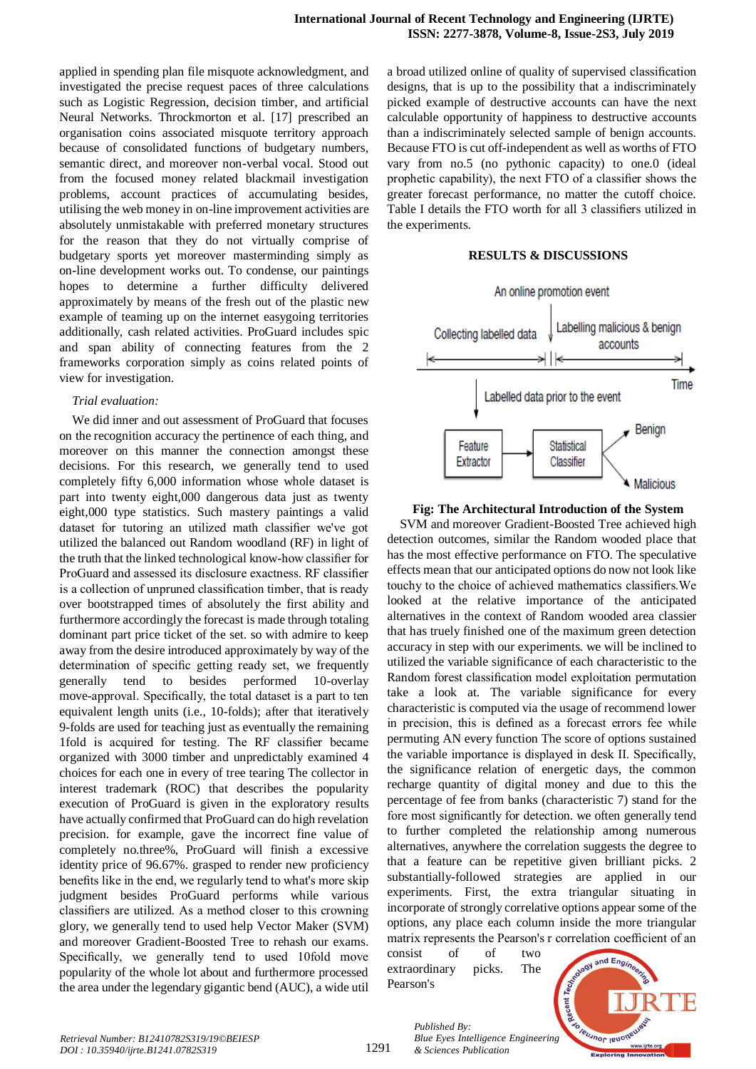applied in spending plan file misquote acknowledgment, and investigated the precise request paces of three calculations such as Logistic Regression, decision timber, and artificial Neural Networks. Throckmorton et al. [17] prescribed an organisation coins associated misquote territory approach because of consolidated functions of budgetary numbers, semantic direct, and moreover non-verbal vocal. Stood out from the focused money related blackmail investigation problems, account practices of accumulating besides, utilising the web money in on-line improvement activities are absolutely unmistakable with preferred monetary structures for the reason that they do not virtually comprise of budgetary sports yet moreover masterminding simply as on-line development works out. To condense, our paintings hopes to determine a further difficulty delivered approximately by means of the fresh out of the plastic new example of teaming up on the internet easygoing territories additionally, cash related activities. ProGuard includes spic and span ability of connecting features from the 2 frameworks corporation simply as coins related points of view for investigation.

### *Trial evaluation:*

We did inner and out assessment of ProGuard that focuses on the recognition accuracy the pertinence of each thing, and moreover on this manner the connection amongst these decisions. For this research, we generally tend to used completely fifty 6,000 information whose whole dataset is part into twenty eight,000 dangerous data just as twenty eight,000 type statistics. Such mastery paintings a valid dataset for tutoring an utilized math classifier we've got utilized the balanced out Random woodland (RF) in light of the truth that the linked technological know-how classifier for ProGuard and assessed its disclosure exactness. RF classifier is a collection of unpruned classification timber, that is ready over bootstrapped times of absolutely the first ability and furthermore accordingly the forecast is made through totaling dominant part price ticket of the set. so with admire to keep away from the desire introduced approximately by way of the determination of specific getting ready set, we frequently generally tend to besides performed 10-overlay move-approval. Specifically, the total dataset is a part to ten equivalent length units (i.e., 10-folds); after that iteratively 9-folds are used for teaching just as eventually the remaining 1fold is acquired for testing. The RF classifier became organized with 3000 timber and unpredictably examined 4 choices for each one in every of tree tearing The collector in interest trademark (ROC) that describes the popularity execution of ProGuard is given in the exploratory results have actually confirmed that ProGuard can do high revelation precision. for example, gave the incorrect fine value of completely no.three%, ProGuard will finish a excessive identity price of 96.67%. grasped to render new proficiency benefits like in the end, we regularly tend to what's more skip judgment besides ProGuard performs while various classifiers are utilized. As a method closer to this crowning glory, we generally tend to used help Vector Maker (SVM) and moreover Gradient-Boosted Tree to rehash our exams. Specifically, we generally tend to used 10fold move popularity of the whole lot about and furthermore processed the area under the legendary gigantic bend (AUC), a wide util

a broad utilized online of quality of supervised classification designs, that is up to the possibility that a indiscriminately picked example of destructive accounts can have the next calculable opportunity of happiness to destructive accounts than a indiscriminately selected sample of benign accounts. Because FTO is cut off-independent as well as worths of FTO vary from no.5 (no pythonic capacity) to one.0 (ideal prophetic capability), the next FTO of a classifier shows the greater forecast performance, no matter the cutoff choice. Table I details the FTO worth for all 3 classifiers utilized in the experiments.

# **RESULTS & DISCUSSIONS**



### **Fig: The Architectural Introduction of the System**

SVM and moreover Gradient-Boosted Tree achieved high detection outcomes, similar the Random wooded place that has the most effective performance on FTO. The speculative effects mean that our anticipated options do now not look like touchy to the choice of achieved mathematics classifiers.We looked at the relative importance of the anticipated alternatives in the context of Random wooded area classier that has truely finished one of the maximum green detection accuracy in step with our experiments. we will be inclined to utilized the variable significance of each characteristic to the Random forest classification model exploitation permutation take a look at. The variable significance for every characteristic is computed via the usage of recommend lower in precision, this is defined as a forecast errors fee while permuting AN every function The score of options sustained the variable importance is displayed in desk II. Specifically, the significance relation of energetic days, the common recharge quantity of digital money and due to this the percentage of fee from banks (characteristic 7) stand for the fore most significantly for detection. we often generally tend to further completed the relationship among numerous alternatives, anywhere the correlation suggests the degree to that a feature can be repetitive given brilliant picks. 2 substantially-followed strategies are applied in our experiments. First, the extra triangular situating in incorporate of strongly correlative options appear some of the options, any place each column inside the more triangular matrix represents the Pearson's r correlation coefficient of an

consist of of two extraordinary picks. The Pearson's



*Published By: Blue Eyes Intelligence Engineering & Sciences Publication*